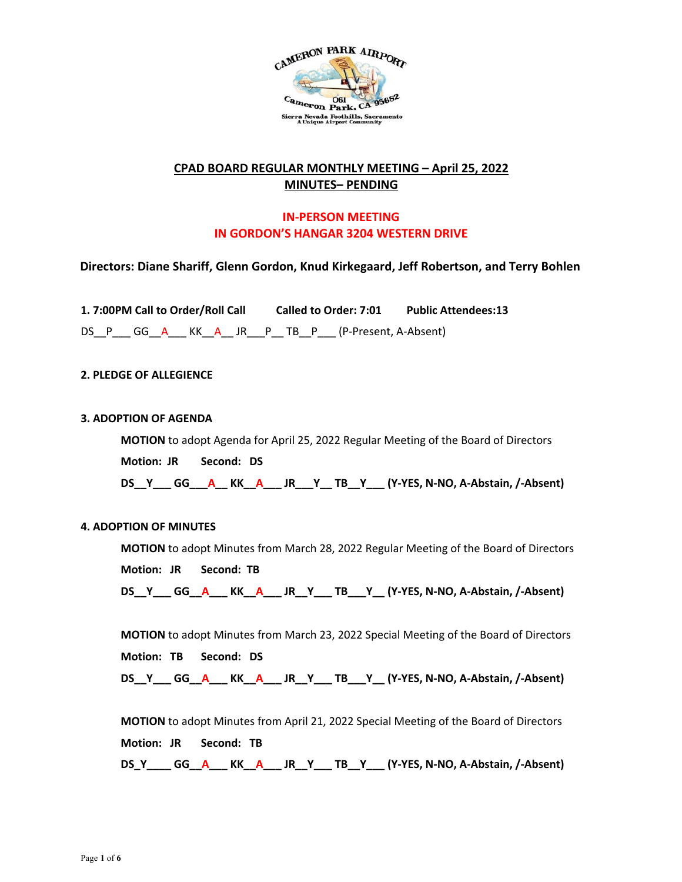

## **CPAD BOARD REGULAR MONTHLY MEETING – April 25, 2022 MINUTES– PENDING**

# **IN-PERSON MEETING IN GORDON'S HANGAR 3204 WESTERN DRIVE**

## **Directors: Diane Shariff, Glenn Gordon, Knud Kirkegaard, Jeff Robertson, and Terry Bohlen**

**1. 7:00PM Call to Order/Roll Call Called to Order: 7:01 Public Attendees:13** DS\_P\_\_\_ GG\_\_A\_\_\_ KK\_\_A\_\_ JR\_\_\_P\_\_ TB\_\_P\_\_\_ (P-Present, A-Absent)

## **2. PLEDGE OF ALLEGIENCE**

#### **3. ADOPTION OF AGENDA**

**MOTION** to adopt Agenda for April 25, 2022 Regular Meeting of the Board of Directors **Motion: JR Second: DS DS\_\_Y\_\_\_ GG\_\_\_A\_\_ KK\_\_A\_\_\_ JR\_\_\_Y\_\_ TB\_\_Y\_\_\_ (Y-YES, N-NO, A-Abstain, /-Absent)** 

## **4. ADOPTION OF MINUTES**

**MOTION** to adopt Minutes from March 28, 2022 Regular Meeting of the Board of Directors **Motion: JR Second: TB**

**DS\_\_Y\_\_\_ GG\_\_A\_\_\_ KK\_\_A\_\_\_ JR\_\_Y\_\_\_ TB\_\_\_Y\_\_ (Y-YES, N-NO, A-Abstain, /-Absent)** 

**MOTION** to adopt Minutes from March 23, 2022 Special Meeting of the Board of Directors **Motion: TB Second: DS DS\_\_Y\_\_\_ GG\_\_A\_\_\_ KK\_\_A\_\_\_ JR\_\_Y\_\_\_ TB\_\_\_Y\_\_ (Y-YES, N-NO, A-Abstain, /-Absent)** 

**MOTION** to adopt Minutes from April 21, 2022 Special Meeting of the Board of Directors **Motion: JR Second: TB DS\_Y\_\_\_\_ GG\_\_A\_\_\_ KK\_\_A\_\_\_ JR\_\_Y\_\_\_ TB\_\_Y\_\_\_ (Y-YES, N-NO, A-Abstain, /-Absent)**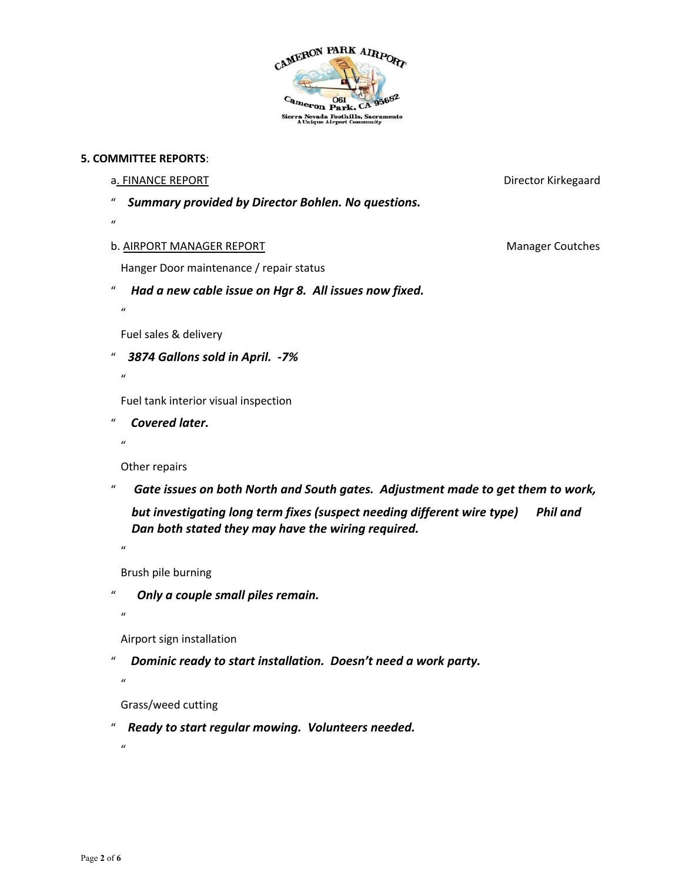

#### **5. COMMITTEE REPORTS**:

#### a. FINANCE REPORT **EXECUTE:** The state of the state of the state of the state of the state of the state of the state of the state of the state of the state of the state of the state of the state of the state of the state o

" *Summary provided by Director Bohlen. No questions.* 

 $\mathbf{u}$ 

#### b. AIRPORT MANAGER REPORT Manager Coutches

Hanger Door maintenance / repair status

" *Had a new cable issue on Hgr 8. All issues now fixed.* 

 $\mathbf{u}$ 

Fuel sales & delivery

" *3874 Gallons sold in April. -7%* 

 $\boldsymbol{u}$ 

Fuel tank interior visual inspection

" *Covered later.* 

 $\mathbf{u}$ 

Other repairs

" *Gate issues on both North and South gates. Adjustment made to get them to work,* 

*but investigating long term fixes (suspect needing different wire type) Phil and Dan both stated they may have the wiring required.* 

 $\boldsymbol{u}$ 

Brush pile burning

" *Only a couple small piles remain.* 

 $\boldsymbol{u}$ 

 $\mathbf{u}$ 

 $\mathbf{u}$ 

Airport sign installation

" *Dominic ready to start installation. Doesn't need a work party.* 

Grass/weed cutting

" *Ready to start regular mowing. Volunteers needed.* 

Page **2** of **6**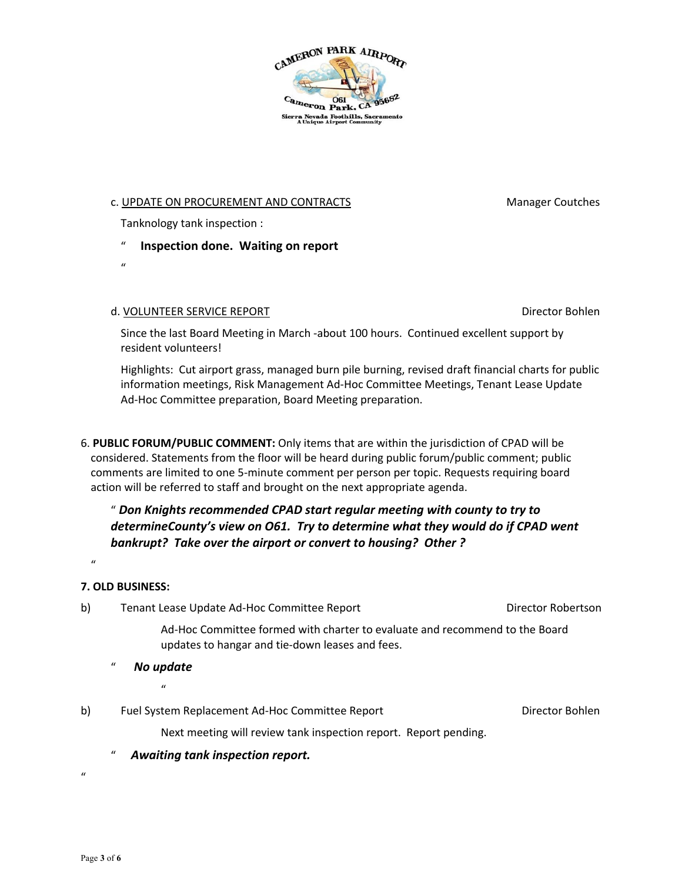

## c. UPDATE ON PROCUREMENT AND CONTRACTS MANAGEMENT MODEL CONTRACTS

Tanknology tank inspection :

- "**Inspection done. Waiting on report**
- $\boldsymbol{u}$

## d. VOLUNTEER SERVICE REPORT **Director Bohlen**

Since the last Board Meeting in March -about 100 hours. Continued excellent support by resident volunteers!

Highlights: Cut airport grass, managed burn pile burning, revised draft financial charts for public information meetings, Risk Management Ad-Hoc Committee Meetings, Tenant Lease Update Ad-Hoc Committee preparation, Board Meeting preparation.

6. **PUBLIC FORUM/PUBLIC COMMENT:** Only items that are within the jurisdiction of CPAD will be considered. Statements from the floor will be heard during public forum/public comment; public comments are limited to one 5-minute comment per person per topic. Requests requiring board action will be referred to staff and brought on the next appropriate agenda.

# " *Don Knights recommended CPAD start regular meeting with county to try to determineCounty's view on O61. Try to determine what they would do if CPAD went bankrupt? Take over the airport or convert to housing? Other ?*

# **7. OLD BUSINESS:**

 $\mathbf{u}$ 

b) Tenant Lease Update Ad-Hoc Committee Report Franciscon Director Robertson

Ad-Hoc Committee formed with charter to evaluate and recommend to the Board updates to hangar and tie-down leases and fees.

- " *No update* 
	- $\mathbf{u}$
- b) Fuel System Replacement Ad-Hoc Committee Report Fuel Director Bohlen

Next meeting will review tank inspection report. Report pending.

" *Awaiting tank inspection report.* 

 $\mathbf{u}$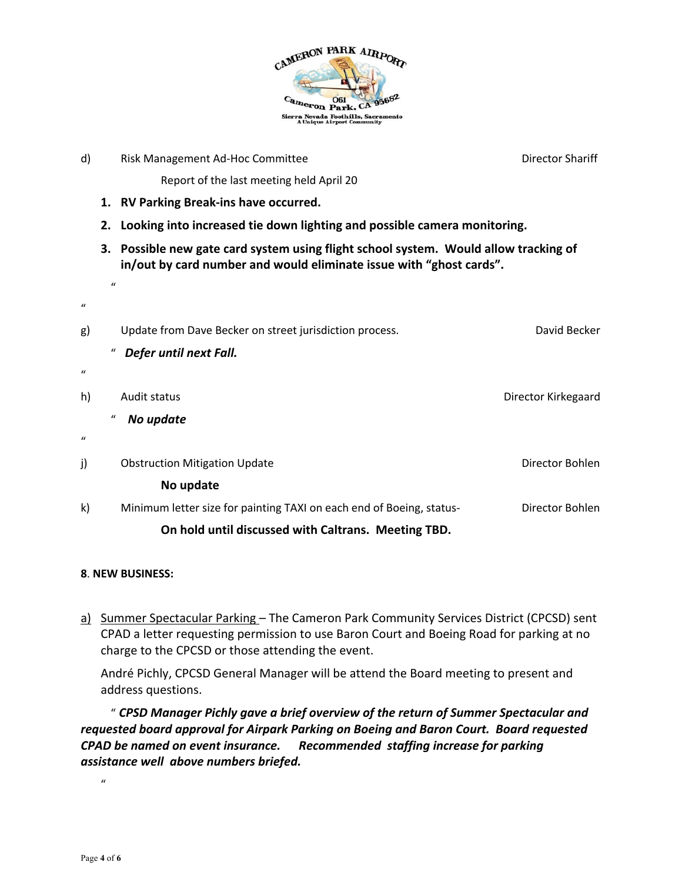

|    | Risk Management Ad-Hoc Committee                                                                                                                         | <b>Director Shariff</b>                                         |
|----|----------------------------------------------------------------------------------------------------------------------------------------------------------|-----------------------------------------------------------------|
|    | Report of the last meeting held April 20                                                                                                                 |                                                                 |
|    |                                                                                                                                                          |                                                                 |
| 2. | Looking into increased tie down lighting and possible camera monitoring.                                                                                 |                                                                 |
| 3. | Possible new gate card system using flight school system. Would allow tracking of<br>in/out by card number and would eliminate issue with "ghost cards". |                                                                 |
|    |                                                                                                                                                          |                                                                 |
|    | Update from Dave Becker on street jurisdiction process.                                                                                                  | David Becker                                                    |
|    | Defer until next Fall.                                                                                                                                   |                                                                 |
|    |                                                                                                                                                          |                                                                 |
|    | Audit status                                                                                                                                             | Director Kirkegaard                                             |
|    | No update                                                                                                                                                |                                                                 |
|    |                                                                                                                                                          |                                                                 |
|    | <b>Obstruction Mitigation Update</b>                                                                                                                     | Director Bohlen                                                 |
|    | No update                                                                                                                                                |                                                                 |
|    | Minimum letter size for painting TAXI on each end of Boeing, status-                                                                                     | Director Bohlen                                                 |
|    | On hold until discussed with Caltrans. Meeting TBD.                                                                                                      |                                                                 |
|    | $\mathbf{u}$                                                                                                                                             | 1. RV Parking Break-ins have occurred.<br>"<br>$\boldsymbol{u}$ |

## **8**. **NEW BUSINESS:**

a) Summer Spectacular Parking - The Cameron Park Community Services District (CPCSD) sent CPAD a letter requesting permission to use Baron Court and Boeing Road for parking at no charge to the CPCSD or those attending the event.

André Pichly, CPCSD General Manager will be attend the Board meeting to present and address questions.

" *CPSD Manager Pichly gave a brief overview of the return of Summer Spectacular and requested board approval for Airpark Parking on Boeing and Baron Court. Board requested CPAD be named on event insurance. Recommended staffing increase for parking assistance well above numbers briefed.* 

 $\mathbf{u}$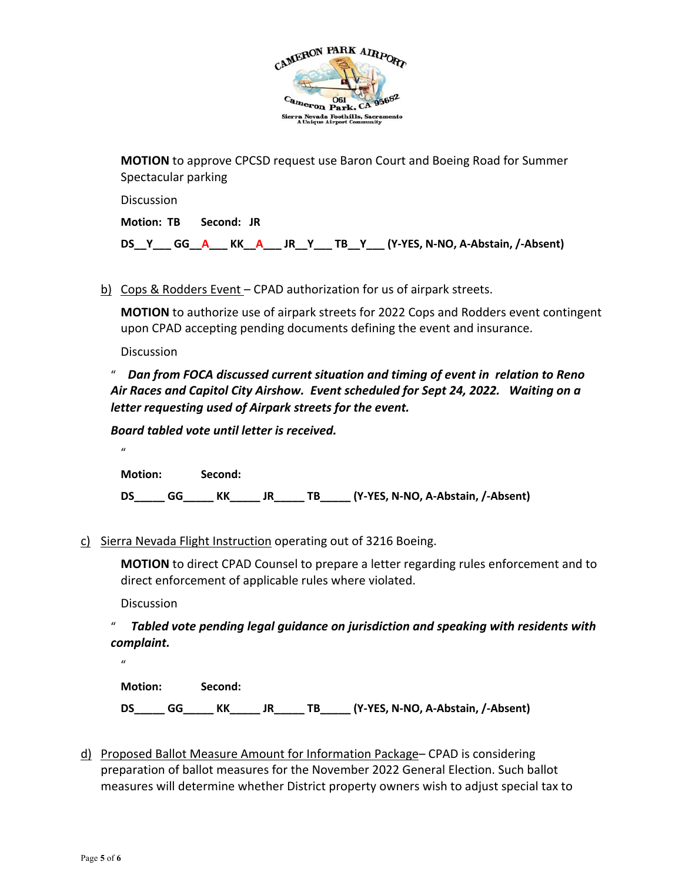

**MOTION** to approve CPCSD request use Baron Court and Boeing Road for Summer Spectacular parking

**Discussion Motion: TB Second: JR DS\_\_Y\_\_\_ GG\_\_A\_\_\_ KK\_\_A\_\_\_ JR\_\_Y\_\_\_ TB\_\_Y\_\_\_ (Y-YES, N-NO, A-Abstain, /-Absent)** 

b) Cops & Rodders Event – CPAD authorization for us of airpark streets.

**MOTION** to authorize use of airpark streets for 2022 Cops and Rodders event contingent upon CPAD accepting pending documents defining the event and insurance.

**Discussion** 

 $\boldsymbol{u}$ 

" *Dan from FOCA discussed current situation and timing of event in relation to Reno Air Races and Capitol City Airshow. Event scheduled for Sept 24, 2022. Waiting on a letter requesting used of Airpark streets for the event.* 

*Board tabled vote until letter is received.* 

**Motion: Second:**

**DS\_\_\_\_\_ GG\_\_\_\_\_ KK\_\_\_\_\_ JR\_\_\_\_\_ TB\_\_\_\_\_ (Y-YES, N-NO, A-Abstain, /-Absent)** 

c) Sierra Nevada Flight Instruction operating out of 3216 Boeing.

**MOTION** to direct CPAD Counsel to prepare a letter regarding rules enforcement and to direct enforcement of applicable rules where violated.

**Discussion** 

" *Tabled vote pending legal guidance on jurisdiction and speaking with residents with complaint.* 

 $\mathbf{u}$ 

**Motion: Second: DS\_\_\_\_\_ GG\_\_\_\_\_ KK\_\_\_\_\_ JR\_\_\_\_\_ TB\_\_\_\_\_ (Y-YES, N-NO, A-Abstain, /-Absent)** 

d) Proposed Ballot Measure Amount for Information Package– CPAD is considering preparation of ballot measures for the November 2022 General Election. Such ballot measures will determine whether District property owners wish to adjust special tax to